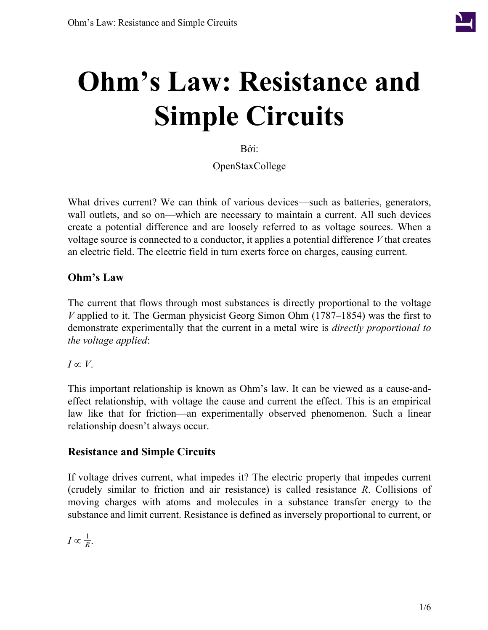

# **Ohm's Law: Resistance and Simple Circuits**

Bởi:

OpenStaxCollege

What drives current? We can think of various devices—such as batteries, generators, wall outlets, and so on—which are necessary to maintain a current. All such devices create a potential difference and are loosely referred to as voltage sources. When a voltage source is connected to a conductor, it applies a potential difference *V* that creates an electric field. The electric field in turn exerts force on charges, causing current.

## **Ohm's Law**

The current that flows through most substances is directly proportional to the voltage *V* applied to it. The German physicist Georg Simon Ohm (1787–1854) was the first to demonstrate experimentally that the current in a metal wire is *directly proportional to the voltage applied*:

 $I \propto V$ .

This important relationship is known as Ohm's law. It can be viewed as a cause-andeffect relationship, with voltage the cause and current the effect. This is an empirical law like that for friction—an experimentally observed phenomenon. Such a linear relationship doesn't always occur.

# **Resistance and Simple Circuits**

If voltage drives current, what impedes it? The electric property that impedes current (crudely similar to friction and air resistance) is called resistance *R*. Collisions of moving charges with atoms and molecules in a substance transfer energy to the substance and limit current. Resistance is defined as inversely proportional to current, or

 $I \propto \frac{1}{R}$  $\frac{1}{R}$ .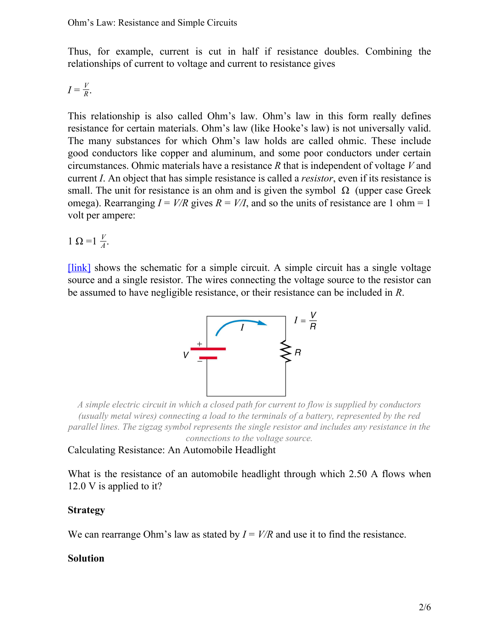Thus, for example, current is cut in half if resistance doubles. Combining the relationships of current to voltage and current to resistance gives

$$
I=\frac{V}{R}.
$$

This relationship is also called Ohm's law. Ohm's law in this form really defines resistance for certain materials. Ohm's law (like Hooke's law) is not universally valid. The many substances for which Ohm's law holds are called ohmic. These include good conductors like copper and aluminum, and some poor conductors under certain circumstances. Ohmic materials have a resistance *R* that is independent of voltage *V* and current *I*. An object that has simple resistance is called a *resistor*, even if its resistance is small. The unit for resistance is an ohm and is given the symbol  $\Omega$  (upper case Greek omega). Rearranging  $I = V/R$  gives  $R = V/I$ , and so the units of resistance are 1 ohm = 1 volt per ampere:

1 Ω = 1  $\frac{V}{4}$  $\frac{\nu}{A}$ .

<span id="page-1-0"></span>[\[link\]](#page-1-0) shows the schematic for a simple circuit. A simple circuit has a single voltage source and a single resistor. The wires connecting the voltage source to the resistor can be assumed to have negligible resistance, or their resistance can be included in *R*.



*A simple electric circuit in which a closed path for current to flow is supplied by conductors (usually metal wires) connecting a load to the terminals of a battery, represented by the red parallel lines. The zigzag symbol represents the single resistor and includes any resistance in the connections to the voltage source.*

<span id="page-1-1"></span>Calculating Resistance: An Automobile Headlight

What is the resistance of an automobile headlight through which 2.50 A flows when 12.0 V is applied to it?

## **Strategy**

We can rearrange Ohm's law as stated by  $I = V/R$  and use it to find the resistance.

## **Solution**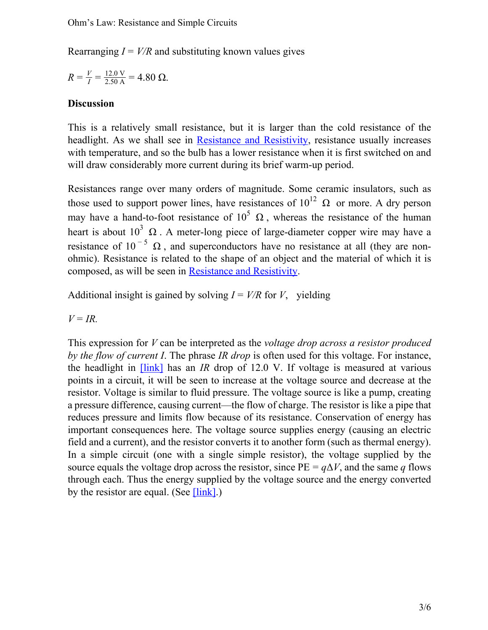Rearranging  $I = V/R$  and substituting known values gives

$$
R = \frac{V}{I} = \frac{12.0 \text{ V}}{2.50 \text{ A}} = 4.80 \text{ }\Omega.
$$

#### **Discussion**

This is a relatively small resistance, but it is larger than the cold resistance of the headlight. As we shall see in Resistance and [Resistivity,](/m42346) resistance usually increases with temperature, and so the bulb has a lower resistance when it is first switched on and will draw considerably more current during its brief warm-up period.

Resistances range over many orders of magnitude. Some ceramic insulators, such as those used to support power lines, have resistances of  $10^{12}$   $\Omega$  or more. A dry person may have a hand-to-foot resistance of  $10^5 \Omega$ , whereas the resistance of the human heart is about  $10^3 \Omega$ . A meter-long piece of large-diameter copper wire may have a resistance of 10<sup>-5</sup>  $\Omega$ , and superconductors have no resistance at all (they are nonohmic). Resistance is related to the shape of an object and the material of which it is composed, as will be seen in [Resistance and Resistivity.](/m42346)

Additional insight is gained by solving  $I = V/R$  for *V*, yielding

 $V = IR$ .

This expression for *V* can be interpreted as the *voltage drop across a resistor produced by the flow of current I*. The phrase *IR drop* is often used for this voltage. For instance, the headlight in [\[link\]](#page-1-1) has an *IR* drop of 12.0 V. If voltage is measured at various points in a circuit, it will be seen to increase at the voltage source and decrease at the resistor. Voltage is similar to fluid pressure. The voltage source is like a pump, creating a pressure difference, causing current—the flow of charge. The resistor is like a pipe that reduces pressure and limits flow because of its resistance. Conservation of energy has important consequences here. The voltage source supplies energy (causing an electric field and a current), and the resistor converts it to another form (such as thermal energy). In a simple circuit (one with a single simple resistor), the voltage supplied by the source equals the voltage drop across the resistor, since  $PE = q\Delta V$ , and the same *q* flows through each. Thus the energy supplied by the voltage source and the energy converted by the resistor are equal. (See  $[\text{link}]$ .)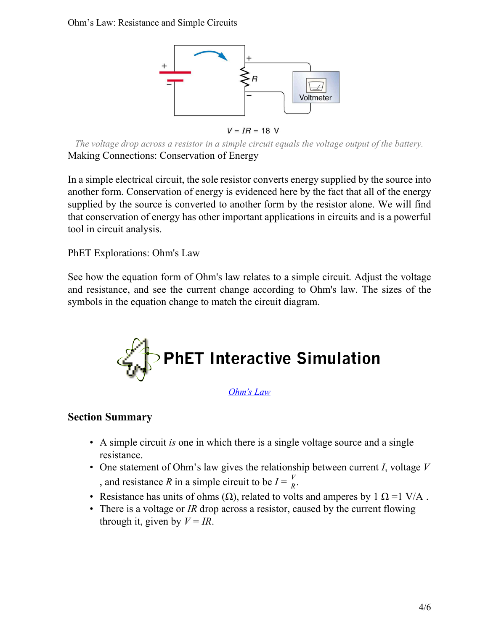<span id="page-3-0"></span>Ohm's Law: Resistance and Simple Circuits



 $V = IR = 18$  V

*The voltage drop across a resistor in a simple circuit equals the voltage output of the battery.* Making Connections: Conservation of Energy

In a simple electrical circuit, the sole resistor converts energy supplied by the source into another form. Conservation of energy is evidenced here by the fact that all of the energy supplied by the source is converted to another form by the resistor alone. We will find that conservation of energy has other important applications in circuits and is a powerful tool in circuit analysis.

PhET Explorations: Ohm's Law

See how the equation form of Ohm's law relates to a simple circuit. Adjust the voltage and resistance, and see the current change according to Ohm's law. The sizes of the symbols in the equation change to match the circuit diagram.



*[Ohm's Law](/home/voer/vp/vp.transformer/src/vpt.transformer/vpt/transformer/transforms/20140115-100335-983b558f-1/ohms-law_en.jar)*

# **Section Summary**

- A simple circuit *is* one in which there is a single voltage source and a single resistance.
- One statement of Ohm's law gives the relationship between current *I*, voltage *V* , and resistance *R* in a simple circuit to be  $I = \frac{V}{R}$  $\frac{V}{R}$ .
- Resistance has units of ohms  $(\Omega)$ , related to volts and amperes by 1  $\Omega$  =1 V/A.
- There is a voltage or *IR* drop across a resistor, caused by the current flowing through it, given by  $V = IR$ .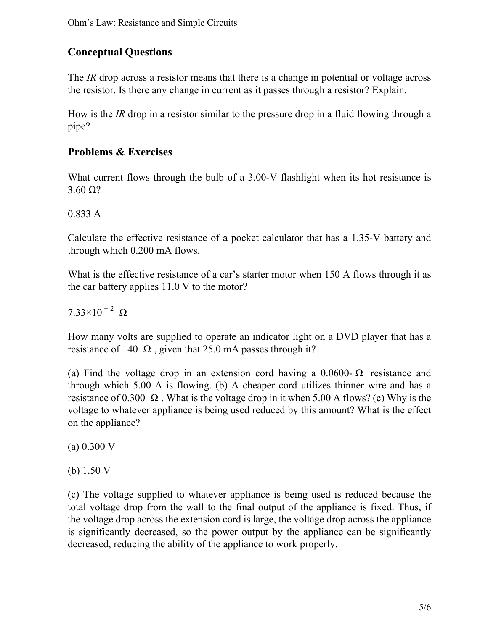# **Conceptual Questions**

The *IR* drop across a resistor means that there is a change in potential or voltage across the resistor. Is there any change in current as it passes through a resistor? Explain.

How is the *IR* drop in a resistor similar to the pressure drop in a fluid flowing through a pipe?

# **Problems & Exercises**

What current flows through the bulb of a 3.00-V flashlight when its hot resistance is  $3.60 \Omega$ ?

### 0.833 A

Calculate the effective resistance of a pocket calculator that has a 1.35-V battery and through which 0.200 mA flows.

What is the effective resistance of a car's starter motor when 150 A flows through it as the car battery applies 11.0 V to the motor?

 $7.33\times10^{-2} \Omega$ 

How many volts are supplied to operate an indicator light on a DVD player that has a resistance of 140  $\Omega$ , given that 25.0 mA passes through it?

(a) Find the voltage drop in an extension cord having a  $0.0600\text{- }\Omega$  resistance and through which 5.00 A is flowing. (b) A cheaper cord utilizes thinner wire and has a resistance of 0.300  $\Omega$ . What is the voltage drop in it when 5.00 A flows? (c) Why is the voltage to whatever appliance is being used reduced by this amount? What is the effect on the appliance?

(a) 0.300 V

(b) 1.50 V

(c) The voltage supplied to whatever appliance is being used is reduced because the total voltage drop from the wall to the final output of the appliance is fixed. Thus, if the voltage drop across the extension cord is large, the voltage drop across the appliance is significantly decreased, so the power output by the appliance can be significantly decreased, reducing the ability of the appliance to work properly.